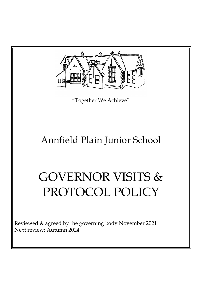

"Together We Achieve"

## Annfield Plain Junior School

# GOVERNOR VISITS & PROTOCOL POLICY

Reviewed & agreed by the governing body November 2021 Next review: Autumn 2024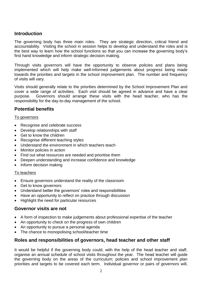## **Introduction**

The governing body has three main roles. They are strategic direction, critical friend and accountability. Visiting the school in session helps to develop and understand the roles and is the best way to learn how the school functions so that you can increase the governing body's first hand knowledge and inform strategic decision making.

Through visits governors will have the opportunity to observe policies and plans being implemented which will help make well-informed judgements about progress being made towards the priorities and targets in the school improvement plan. The number and frequency of visits will vary.

Visits should generally relate to the priorities determined by the School Improvement Plan and cover a wide range of activities. Each visit should be agreed in advance and have a clear purpose. Governors should arrange these visits with the head teacher, who has the responsibility for the day-to-day management of the school.

#### **Potential benefits**

#### To governors

- Recognise and celebrate success
- Develop relationships with staff
- Get to know the children
- Recognise different teaching styles
- Understand the environment in which teachers teach
- Monitor policies in action
- Find out what resources are needed and prioritise them
- Deepen understanding and increase confidence and knowledge
- Inform decision making

#### To teachers

- Ensure governors understand the reality of the classroom
- Get to know governors
- Understand better the governors' roles and responsibilities
- Have an opportunity to reflect on practice through discussion
- Highlight the need for particular resources

## **Governor visits are not**

- A form of inspection to make judgements about professional expertise of the teacher
- An opportunity to check on the progress of own children
- An opportunity to pursue a personal agenda
- The chance to monopolising school/teacher time

## **Roles and responsibilities of governors, head teacher and other staff**

It would be helpful if the governing body could, with the help of the head teacher and staff, organise an annual schedule of school visits throughout the year. The head teacher will guide the governing body on the areas of the curriculum; policies and school improvement plan priorities and targets to be covered each term. Individual governor or pairs of governors will,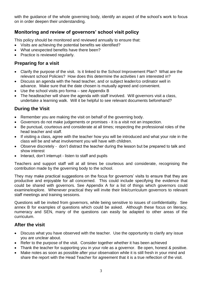with the guidance of the whole governing body, identify an aspect of the school's work to focus on in order deepen their understanding.

## **Monitoring and review of governors' school visit policy**

This policy should be monitored and reviewed annually to ensure that:

- Visits are achieving the potential benefits we identified?
- What unexpected benefits have there been?
- Practice is reviewed regularly.

## **Preparing for a visit**

- Clarify the purpose of the visit. Is it linked to the School Improvement Plan? What are the relevant school Policies? How does this determine the activities I am interested in?
- Discuss an agenda with the head teacher, and or subject leader/co ordinator well in advance. Make sure that the date chosen is mutually agreed and convenient.
- Use the school visits pro forma  $-$  see Appendix B
- The headteacher will share the agenda with staff involved. Will governors visit a class, undertake a learning walk. Will it be helpful to see relevant documents beforehand?

## **During the Visit**

- Remember you are making the visit on behalf of the governing body.
- Governors do not make judgements or promises it is a visit not an inspection.
- Be punctual, courteous and considerate at all times; respecting the professional roles of the head teacher and staff.
- If visiting a class, agree with the teacher how you will be introduced and what your role in the class will be and what involvement you will have with children.
- Observe discretely don't distract the teacher during the lesson but be prepared to talk and show interest
- Interact, don't interrupt listen to staff and pupils

Teachers and support staff will at all times be courteous and considerate, recognising the contribution made by the governing body to the school.

They may make practical suggestions on the focus for governors' visits to ensure that they are productive and enjoyable for all concerned. This could include specifying the evidence that could be shared with governors. See Appendix A for a list of things which governors could examine/explore. Whenever practical they will invite their link/curriculum governors to relevant staff meetings and training sessions.

Questions will be invited from governors, while being sensitive to issues of confidentiality. See annex B for examples of questions which could be asked. Although these focus on literacy, numeracy and SEN, many of the questions can easily be adapted to other areas of the curriculum.

## **After the visit**

- Discuss what you have observed with the teacher. Use the opportunity to clarify any issue you are unclear about.
- Refer to the purpose of the visit. Consider together whether it has been achieved
- Thank the teacher for supporting you in your role as a governor. Be open, honest & positive.
- Make notes as soon as possible after your observation while it is still fresh in your mind and share the report with the Head Teacher for agreement that it is a true reflection of the visit.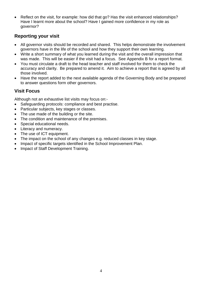• Reflect on the visit, for example: how did that go? Has the visit enhanced relationships? Have I learnt more about the school? Have I gained more confidence in my role as governor?

## **Reporting your visit**

- All governor visits should be recorded and shared. This helps demonstrate the involvement governors have in the life of the school and how they support their own learning.
- Write a short summary of what you learned during the visit and the overall impression that was made. This will be easier if the visit had a focus. See Appendix B for a report format.
- You must circulate a draft to the head teacher and staff involved for them to check the accuracy and clarity. Be prepared to amend it. Aim to achieve a report that is agreed by all those involved.
- Have the report added to the next available agenda of the Governing Body and be prepared to answer questions form other governors.

## **Visit Focus**

Although not an exhaustive list visits may focus on:-

- Safeguarding protocols: compliance and best practise.
- Particular subjects, key stages or classes.
- The use made of the building or the site.
- The condition and maintenance of the premises.
- Special educational needs.
- Literacy and numeracy.
- The use of ICT equipment.
- The impact on the school of any changes e.g. reduced classes in key stage.
- Impact of specific targets identified in the School Improvement Plan.
- Impact of Staff Development Training.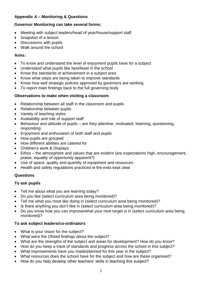## **Appendix A – Monitoring & Questions**

## **Governor Monitoring can take several forms:**

- Meeting with subject leaders/head of year/house/support staff
- Snapshot of a lesson
- Discussions with pupils
- Walk around the school

#### **Aims:**

- To know and understand the level of enjoyment pupils have for a subject
- Understand what pupils like best/least in the school
- Know the standards of achievement in a subject area
- Know what steps are being taken to improve standards
- Know how well strategic policies approved by governors are working
- To report main findings back to the full governing body

#### **Observations to make when visiting a classroom**

- Relationship between all staff in the classroom and pupils
- Relationship between pupils
- Variety of teaching styles
- Availability and role of support staff
- Behaviour and attitude of pupils are they attentive, motivated, listening, questioning, responding
- Enjoyment and enthusiasm of both staff and pupils
- How pupils are grouped
- How different abilities are catered for
- Children's work & Displays
- Ethos the atmosphere and values that are evident (are expectations high, encouragement, praise, equality of opportunity apparent?)
- Use of space, quality and quantity of equipment and resources
- Health and safety regulations practiced ie fire exits kept clear

## **Questions**

## **To ask pupils**

- Tell me about what you are learning today?
- Do you like (select curriculum area being monitored)?
- Tell me what you most like doing in (select curriculum area being monitored)?
- Is there anything you don't like in (select curriculum area being monitored)?
- Do you know how you can improve/what your next target is in (select curriculum area being monitored)?

## **To ask subject leaders/co-ordinators**

- What is your vision for the subject?
- What were the Ofsted findings about the subject?
- What are the strengths of the subject and areas for development? How do you know?
- How do you keep a track of standards and progress across the school in this subject?
- What improvements have you made/planned for this year in the subject?
- What resources does the school have for the subject and how are these organised?
- How do you help develop other teachers' skills in teaching this subject?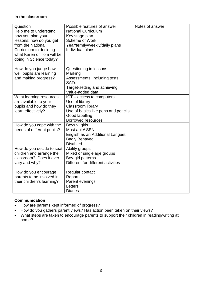#### **In the classroom**

| Question                                               | Possible features of answer                              | Notes of answer |
|--------------------------------------------------------|----------------------------------------------------------|-----------------|
| Help me to understand                                  | <b>National Curriculum</b>                               |                 |
| how you plan your                                      | Key stage plan                                           |                 |
| lessons: how do you get                                | Scheme of Work                                           |                 |
| from the National                                      | Year/termly/weekly/daily plans                           |                 |
| Curriculum to deciding                                 | Individual plans                                         |                 |
| what Karen or Tom will be                              |                                                          |                 |
| doing in Science today?                                |                                                          |                 |
|                                                        |                                                          |                 |
| How do you judge how                                   | Questioning in lessons                                   |                 |
| well pupils are learning                               | Marking                                                  |                 |
| and making progress?                                   | Assessments, including tests                             |                 |
|                                                        | <b>SATs</b>                                              |                 |
|                                                        | Target-setting and achieving                             |                 |
|                                                        | Value-added data                                         |                 |
| What learning resources                                | ICT - access to computers                                |                 |
| are available to your                                  | Use of library                                           |                 |
| pupils and how do they                                 | <b>Classroom library</b>                                 |                 |
| learn effectively?                                     | Use of basics like pens and pencils.                     |                 |
|                                                        | Good labelling                                           |                 |
|                                                        | <b>Borrowed resources</b>                                |                 |
| How do you cope with the<br>needs of different pupils? | Boys v. girls<br>Most able/ SEN                          |                 |
|                                                        |                                                          |                 |
|                                                        | English as an Additional Languet<br><b>Badly Behaved</b> |                 |
|                                                        | <b>Disabled</b>                                          |                 |
| How do you decide to seat                              | Ability groups                                           |                 |
| children and arrange the                               | Mixed or single age groups                               |                 |
| classroom? Does it ever                                | Boy-girl patterns                                        |                 |
| vary and why?                                          | Different for different activities                       |                 |
|                                                        |                                                          |                 |
| How do you encourage                                   | Regular contact                                          |                 |
| parents to be involved in                              | Reports                                                  |                 |
| their children's learning?                             | Parent evenings                                          |                 |
|                                                        | Letters                                                  |                 |
|                                                        | <b>Diaries</b>                                           |                 |

#### **Communication**

- How are parents kept informed of progress?
- How do you gathers parent views? Has action been taken on their views?
- What steps are taken to encourage parents to support their children in reading/writing at home?